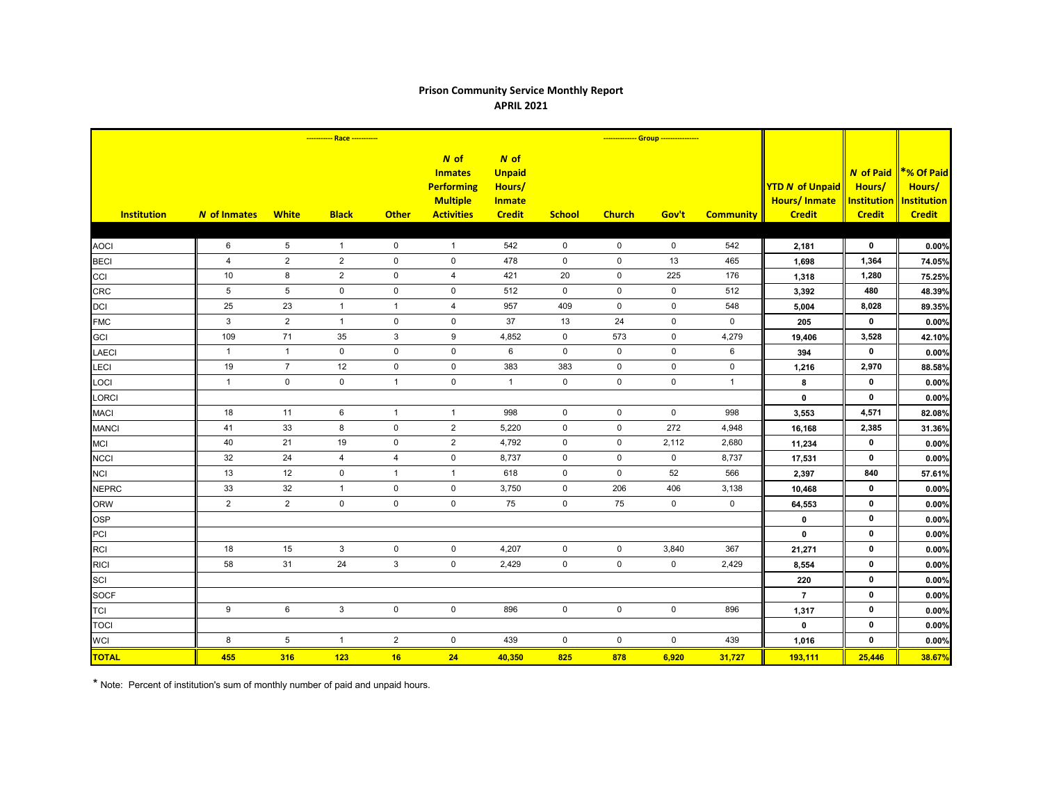## **Prison Community Service Monthly Report APRIL 2021**

| <b>Institution</b> | <b>N</b> of Inmates | <b>White</b>        | <b>Black</b>   | <b>Other</b>   | $N$ of<br><b>Inmates</b><br><b>Performing</b><br><b>Multiple</b><br><b>Activities</b> | $N$ of<br><b>Unpaid</b><br>Hours/<br><b>Inmate</b><br><b>Credit</b> | <b>School</b>       | <b>Church</b>       | Gov't               | <b>Community</b> | <b>YTD N of Unpaid</b><br><b>Hours/Inmate</b><br><b>Credit</b> | <b>N</b> of Paid<br>Hours/<br><b>Institution</b><br><b>Credit</b> | <b>*% Of Paid</b><br>Hours/<br><b>Institution</b><br><b>Credit</b> |
|--------------------|---------------------|---------------------|----------------|----------------|---------------------------------------------------------------------------------------|---------------------------------------------------------------------|---------------------|---------------------|---------------------|------------------|----------------------------------------------------------------|-------------------------------------------------------------------|--------------------------------------------------------------------|
|                    |                     |                     |                |                |                                                                                       |                                                                     |                     |                     |                     |                  |                                                                |                                                                   |                                                                    |
| <b>AOCI</b>        | 6                   | 5                   | $\overline{1}$ | $\mathbf 0$    | $\overline{1}$                                                                        | 542                                                                 | $\mathsf{O}$        | 0                   | $\mathbf 0$         | 542              | 2,181                                                          | $\mathbf 0$                                                       | 0.00%                                                              |
| <b>BECI</b>        | $\overline{4}$      | $\overline{2}$      | $\overline{2}$ | $\pmb{0}$      | $\mathbf 0$                                                                           | 478                                                                 | $\mathbf 0$         | $\mathbf 0$         | 13                  | 465              | 1,698                                                          | 1,364                                                             | 74.05%                                                             |
| CCI                | 10                  | 8                   | $\overline{2}$ | $\mathbf 0$    | 4                                                                                     | 421                                                                 | 20                  | $\mathbf 0$         | 225                 | 176              | 1,318                                                          | 1,280                                                             | 75.25%                                                             |
| <b>CRC</b>         | $5\phantom{.0}$     | $5\phantom{.0}$     | $\mathsf 0$    | $\pmb{0}$      | $\mathsf{O}\xspace$                                                                   | 512                                                                 | $\mathsf 0$         | $\mathsf 0$         | $\mathsf 0$         | 512              | 3,392                                                          | 480                                                               | 48.39%                                                             |
| <b>DCI</b>         | 25                  | 23                  | $\mathbf{1}$   | $\mathbf{1}$   | 4                                                                                     | 957                                                                 | 409                 | $\mathbf 0$         | $\mathbf 0$         | 548              | 5,004                                                          | 8,028                                                             | 89.35%                                                             |
| <b>FMC</b>         | $\mathfrak{S}$      | $\overline{2}$      | $\mathbf{1}$   | $\mathbf 0$    | $\mathbf 0$                                                                           | 37                                                                  | 13                  | 24                  | $\mathbf 0$         | $\mathbf 0$      | 205                                                            | $\mathbf 0$                                                       | 0.00%                                                              |
| <b>GCI</b>         | 109                 | 71                  | 35             | 3              | 9                                                                                     | 4,852                                                               | $\mathbf 0$         | 573                 | $\mathbf 0$         | 4,279            | 19,406                                                         | 3,528                                                             | 42.10%                                                             |
| <b>LAECI</b>       | $\mathbf{1}$        | $\mathbf{1}$        | $\mathbf 0$    | $\pmb{0}$      | $\mathbf 0$                                                                           | 6                                                                   | $\mathbf 0$         | $\mathbf 0$         | $\mathbf 0$         | 6                | 394                                                            | $\mathbf{0}$                                                      | 0.00%                                                              |
| LECI               | 19                  | $\overline{7}$      | 12             | $\pmb{0}$      | $\mathbf 0$                                                                           | 383                                                                 | 383                 | $\mathbf 0$         | $\mathbf 0$         | $\mathbf 0$      | 1,216                                                          | 2,970                                                             | 88.58%                                                             |
| LOCI               | $\mathbf{1}$        | $\mathsf{O}\xspace$ | $\mathbf 0$    | $\mathbf{1}$   | $\mathsf{O}\xspace$                                                                   | $\overline{1}$                                                      | $\mathbf 0$         | $\mathsf{O}\xspace$ | 0                   | $\mathbf{1}$     | 8                                                              | 0                                                                 | 0.00%                                                              |
| LORCI              |                     |                     |                |                |                                                                                       |                                                                     |                     |                     |                     |                  | $\pmb{0}$                                                      | $\mathbf{0}$                                                      | 0.00%                                                              |
| <b>MACI</b>        | 18                  | 11                  | 6              | $\overline{1}$ | $\mathbf{1}$                                                                          | 998                                                                 | $\mathbf 0$         | $\mathbf 0$         | $\mathbf 0$         | 998              | 3,553                                                          | 4,571                                                             | 82.08%                                                             |
| <b>MANCI</b>       | 41                  | 33                  | 8              | $\mathbf 0$    | 2                                                                                     | 5,220                                                               | $\mathbf 0$         | $\mathbf 0$         | 272                 | 4,948            | 16,168                                                         | 2,385                                                             | 31.36%                                                             |
| <b>MCI</b>         | 40                  | 21                  | 19             | $\pmb{0}$      | $\sqrt{2}$                                                                            | 4,792                                                               | $\mathbf 0$         | $\mathbf 0$         | 2,112               | 2,680            | 11,234                                                         | $\mathbf 0$                                                       | 0.00%                                                              |
| <b>NCCI</b>        | 32                  | 24                  | 4              | 4              | $\mathbf 0$                                                                           | 8,737                                                               | $\mathbf 0$         | $\mathbf 0$         | $\mathbf 0$         | 8,737            | 17,531                                                         | $\mathbf 0$                                                       | 0.00%                                                              |
| <b>NCI</b>         | 13                  | 12                  | $\mathsf{O}$   | $\mathbf{1}$   | $\mathbf{1}$                                                                          | 618                                                                 | $\mathsf{O}\xspace$ | $\mathsf 0$         | 52                  | 566              | 2,397                                                          | 840                                                               | 57.61%                                                             |
| <b>NEPRC</b>       | 33                  | 32                  | $\mathbf{1}$   | $\pmb{0}$      | $\mathsf 0$                                                                           | 3,750                                                               | 0                   | 206                 | 406                 | 3,138            | 10,468                                                         | $\mathbf 0$                                                       | 0.00%                                                              |
| <b>ORW</b>         | $\overline{2}$      | $\overline{2}$      | $\mathbf 0$    | $\mathbf 0$    | $\mathbf 0$                                                                           | 75                                                                  | $\mathbf 0$         | 75                  | $\mathbf 0$         | $\mathbf 0$      | 64,553                                                         | $\mathbf 0$                                                       | 0.00%                                                              |
| <b>OSP</b>         |                     |                     |                |                |                                                                                       |                                                                     |                     |                     |                     |                  | $\mathbf 0$                                                    | $\mathbf 0$                                                       | 0.00%                                                              |
| PCI                |                     |                     |                |                |                                                                                       |                                                                     |                     |                     |                     |                  | $\pmb{0}$                                                      | $\mathbf 0$                                                       | 0.00%                                                              |
| <b>RCI</b>         | 18                  | 15                  | $\mathbf{3}$   | $\pmb{0}$      | $\mathbf 0$                                                                           | 4,207                                                               | $\mathbf 0$         | $\mathbf 0$         | 3,840               | 367              | 21,271                                                         | $\mathbf 0$                                                       | 0.00%                                                              |
| <b>RICI</b>        | 58                  | 31                  | 24             | $\mathbf{3}$   | $\pmb{0}$                                                                             | 2,429                                                               | $\mathsf{O}\xspace$ | $\mathsf 0$         | $\mathsf{O}\xspace$ | 2,429            | 8,554                                                          | $\mathbf 0$                                                       | 0.00%                                                              |
| SCI                |                     |                     |                |                |                                                                                       |                                                                     |                     |                     |                     |                  | 220                                                            | $\mathbf 0$                                                       | 0.00%                                                              |
| <b>SOCF</b>        |                     |                     |                |                |                                                                                       |                                                                     |                     |                     |                     |                  | $\overline{7}$                                                 | $\mathbf 0$                                                       | 0.00%                                                              |
| <b>TCI</b>         | 9                   | $6\phantom{.}$      | $\mathbf{3}$   | $\pmb{0}$      | $\mathsf{O}\xspace$                                                                   | 896                                                                 | $\mathbf 0$         | $\mathsf 0$         | $\mathsf 0$         | 896              | 1,317                                                          | 0                                                                 | 0.00%                                                              |
| <b>TOCI</b>        |                     |                     |                |                |                                                                                       |                                                                     |                     |                     |                     |                  | $\mathbf 0$                                                    | $\mathbf 0$                                                       | 0.00%                                                              |
| <b>WCI</b>         | 8                   | $\overline{5}$      | $\mathbf{1}$   | $\sqrt{2}$     | $\mathbf 0$                                                                           | 439                                                                 | $\mathsf{O}\xspace$ | $\mathbf 0$         | $\mathbf 0$         | 439              | 1,016                                                          | $\mathbf 0$                                                       | 0.00%                                                              |
| <b>TOTAL</b>       | 455                 | 316                 | 123            | 16             | 24                                                                                    | 40,350                                                              | 825                 | 878                 | 6,920               | 31,727           | 193,111                                                        | 25,446                                                            | 38.67%                                                             |

\* Note: Percent of institution's sum of monthly number of paid and unpaid hours.